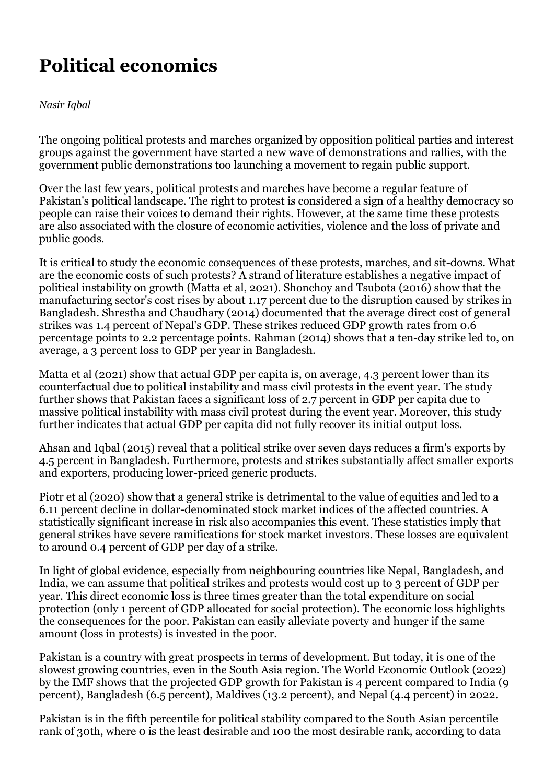## **Political economics**

## *Nasir Iqbal*

The ongoing political protests and marches organized by opposition political parties and interest groups against the government have started a new wave of demonstrations and rallies, with the government public demonstrations too launching a movement to regain public support.

Over the last few years, political protests and marches have become a regular feature of Pakistan's political landscape. The right to protest is considered a sign of a healthy democracy so people can raise their voices to demand their rights. However, at the same time these protests are also associated with the closure of economic activities, violence and the loss of private and public goods.

It is critical to study the economic consequences of these protests, marches, and sit-downs. What are the economic costs of such protests? A strand of literature establishes a negative impact of political instability on growth (Matta et al, 2021). Shonchoy and Tsubota (2016) show that the manufacturing sector's cost rises by about 1.17 percent due to the disruption caused by strikes in Bangladesh. Shrestha and Chaudhary (2014) documented that the average direct cost of general strikes was 1.4 percent of Nepal's GDP. These strikes reduced GDP growth rates from 0.6 percentage points to 2.2 percentage points. Rahman (2014) shows that a ten-day strike led to, on average, a 3 percent loss to GDP per year in Bangladesh.

Matta et al (2021) show that actual GDP per capita is, on average, 4.3 percent lower than its counterfactual due to political instability and mass civil protests in the event year. The study further shows that Pakistan faces a significant loss of 2.7 percent in GDP per capita due to massive political instability with mass civil protest during the event year. Moreover, this study further indicates that actual GDP per capita did not fully recover its initial output loss.

Ahsan and Iqbal (2015) reveal that a political strike over seven days reduces a firm's exports by 4.5 percent in Bangladesh. Furthermore, protests and strikes substantially affect smaller exports and exporters, producing lower-priced generic products.

Piotr et al (2020) show that a general strike is detrimental to the value of equities and led to a 6.11 percent decline in dollar-denominated stock market indices of the affected countries. A statistically significant increase in risk also accompanies this event. These statistics imply that general strikes have severe ramifications for stock market investors. These losses are equivalent to around 0.4 percent of GDP per day of a strike.

In light of global evidence, especially from neighbouring countries like Nepal, Bangladesh, and India, we can assume that political strikes and protests would cost up to 3 percent of GDP per year. This direct economic loss is three times greater than the total expenditure on social protection (only 1 percent of GDP allocated for social protection). The economic loss highlights the consequences for the poor. Pakistan can easily alleviate poverty and hunger if the same amount (loss in protests) is invested in the poor.

Pakistan is a country with great prospects in terms of development. But today, it is one of the slowest growing countries, even in the South Asia region. The World Economic Outlook (2022) by the IMF shows that the projected GDP growth for Pakistan is 4 percent compared to India (9 percent), Bangladesh (6.5 percent), Maldives (13.2 percent), and Nepal (4.4 percent) in 2022.

Pakistan is in the fifth percentile for political stability compared to the South Asian percentile rank of 30th, where 0 is the least desirable and 100 the most desirable rank, according to data